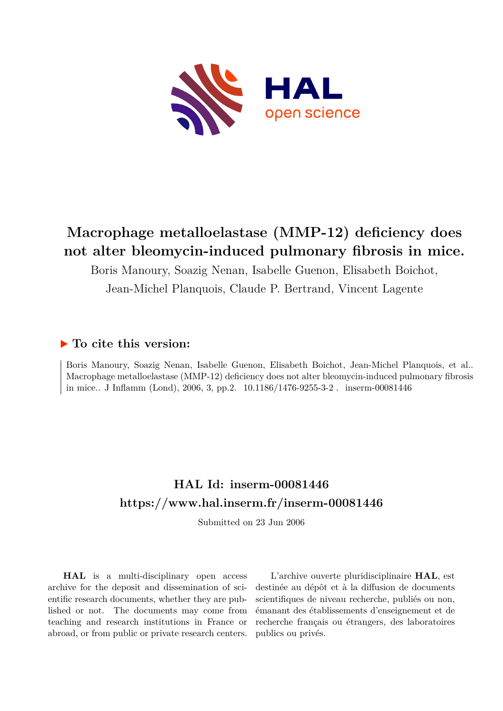

# **Macrophage metalloelastase (MMP-12) deficiency does not alter bleomycin-induced pulmonary fibrosis in mice.**

Boris Manoury, Soazig Nenan, Isabelle Guenon, Elisabeth Boichot,

Jean-Michel Planquois, Claude P. Bertrand, Vincent Lagente

## **To cite this version:**

Boris Manoury, Soazig Nenan, Isabelle Guenon, Elisabeth Boichot, Jean-Michel Planquois, et al.. Macrophage metalloelastase (MMP-12) deficiency does not alter bleomycin-induced pulmonary fibrosis in mice.. J Inflamm (Lond), 2006, 3, pp.2.  $10.1186/1476-9255-3-2$ . inserm-00081446

## **HAL Id: inserm-00081446 <https://www.hal.inserm.fr/inserm-00081446>**

Submitted on 23 Jun 2006

**HAL** is a multi-disciplinary open access archive for the deposit and dissemination of scientific research documents, whether they are published or not. The documents may come from teaching and research institutions in France or abroad, or from public or private research centers.

L'archive ouverte pluridisciplinaire **HAL**, est destinée au dépôt et à la diffusion de documents scientifiques de niveau recherche, publiés ou non, émanant des établissements d'enseignement et de recherche français ou étrangers, des laboratoires publics ou privés.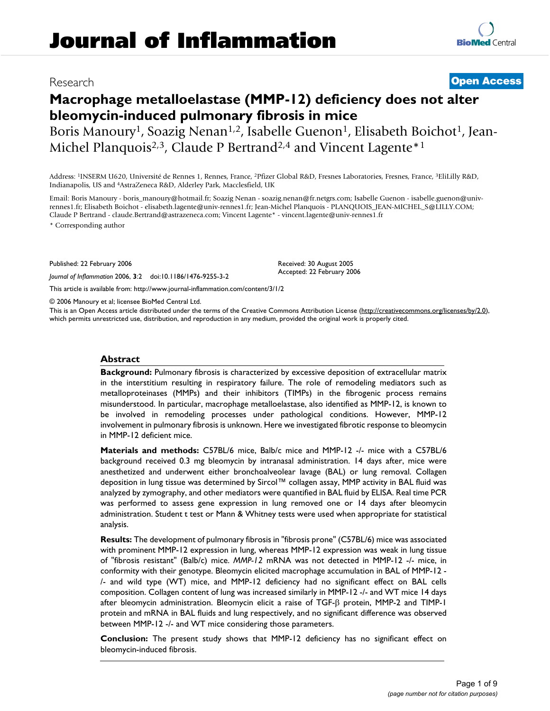## **Macrophage metalloelastase (MMP-12) deficiency does not alter bleomycin-induced pulmonary fibrosis in mice**

Boris Manoury<sup>1</sup>, Soazig Nenan<sup>1,2</sup>, Isabelle Guenon<sup>1</sup>, Elisabeth Boichot<sup>1</sup>, Jean-Michel Planquois<sup>2,3</sup>, Claude P Bertrand<sup>2,4</sup> and Vincent Lagente<sup>\*1</sup>

Address: <sup>1</sup>INSERM U620, Université de Rennes 1, Rennes, France, <sup>2</sup>Pfizer Global R&D, Fresnes Laboratories, Fresnes, France, <sup>3</sup>EliLilly R&D, Indianapolis, US and <sup>4</sup>AstraZeneca R&D, Alderley Park, Macclesfield, UK

Email: Boris Manoury - boris\_manoury@hotmail.fr; Soazig Nenan - soazig.nenan@fr.netgrs.com; Isabelle Guenon - isabelle.guenon@univrennes1.fr; Elisabeth Boichot - elisabeth.lagente@univ-rennes1.fr; Jean-Michel Planquois - PLANQUOIS\_JEAN-MICHEL\_S@LILLY.COM; Claude P Bertrand - claude.Bertrand@astrazeneca.com; Vincent Lagente\* - vincent.lagente@univ-rennes1.fr

\* Corresponding author

Published: 22 February 2006

*Journal of Inflammation* 2006, **3**:2 doi:10.1186/1476-9255-3-2

[This article is available from: http://www.journal-inflammation.com/content/3/1/2](http://www.journal-inflammation.com/content/3/1/2)

© 2006 Manoury et al; licensee BioMed Central Ltd.

This is an Open Access article distributed under the terms of the Creative Commons Attribution License [\(http://creativecommons.org/licenses/by/2.0\)](http://creativecommons.org/licenses/by/2.0), which permits unrestricted use, distribution, and reproduction in any medium, provided the original work is properly cited.

Received: 30 August 2005 Accepted: 22 February 2006

#### **Abstract**

**Background:** Pulmonary fibrosis is characterized by excessive deposition of extracellular matrix in the interstitium resulting in respiratory failure. The role of remodeling mediators such as metalloproteinases (MMPs) and their inhibitors (TIMPs) in the fibrogenic process remains misunderstood. In particular, macrophage metalloelastase, also identified as MMP-12, is known to be involved in remodeling processes under pathological conditions. However, MMP-12 involvement in pulmonary fibrosis is unknown. Here we investigated fibrotic response to bleomycin in MMP-12 deficient mice.

**Materials and methods:** C57BL/6 mice, Balb/c mice and MMP-12 -/- mice with a C57BL/6 background received 0.3 mg bleomycin by intranasal administration. 14 days after, mice were anesthetized and underwent either bronchoalveolear lavage (BAL) or lung removal. Collagen deposition in lung tissue was determined by Sircol™ collagen assay, MMP activity in BAL fluid was analyzed by zymography, and other mediators were quantified in BAL fluid by ELISA. Real time PCR was performed to assess gene expression in lung removed one or 14 days after bleomycin administration. Student t test or Mann & Whitney tests were used when appropriate for statistical analysis.

**Results:** The development of pulmonary fibrosis in "fibrosis prone" (C57BL/6) mice was associated with prominent MMP-12 expression in lung, whereas MMP-12 expression was weak in lung tissue of "fibrosis resistant" (Balb/c) mice. *MMP-12* mRNA was not detected in MMP-12 -/- mice, in conformity with their genotype. Bleomycin elicited macrophage accumulation in BAL of MMP-12 - /- and wild type (WT) mice, and MMP-12 deficiency had no significant effect on BAL cells composition. Collagen content of lung was increased similarly in MMP-12 -/- and WT mice 14 days after bleomycin administration. Bleomycin elicit a raise of TGF-β protein, MMP-2 and TIMP-1 protein and mRNA in BAL fluids and lung respectively, and no significant difference was observed between MMP-12 -/- and WT mice considering those parameters.

**Conclusion:** The present study shows that MMP-12 deficiency has no significant effect on bleomycin-induced fibrosis.

Research **[Open Access](http://www.biomedcentral.com/info/about/charter/)**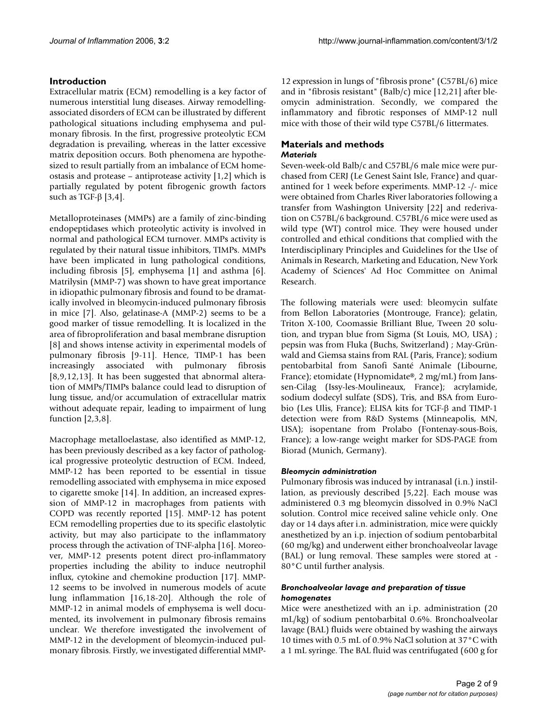### **Introduction**

Extracellular matrix (ECM) remodelling is a key factor of numerous interstitial lung diseases. Airway remodellingassociated disorders of ECM can be illustrated by different pathological situations including emphysema and pulmonary fibrosis. In the first, progressive proteolytic ECM degradation is prevailing, whereas in the latter excessive matrix deposition occurs. Both phenomena are hypothesized to result partially from an imbalance of ECM homeostasis and protease – antiprotease activity [1,2] which is partially regulated by potent fibrogenic growth factors such as TGF-β [3,4].

Metalloproteinases (MMPs) are a family of zinc-binding endopeptidases which proteolytic activity is involved in normal and pathological ECM turnover. MMPs activity is regulated by their natural tissue inhibitors, TIMPs. MMPs have been implicated in lung pathological conditions, including fibrosis [5], emphysema [1] and asthma [6]. Matrilysin (MMP-7) was shown to have great importance in idiopathic pulmonary fibrosis and found to be dramatically involved in bleomycin-induced pulmonary fibrosis in mice [7]. Also, gelatinase-A (MMP-2) seems to be a good marker of tissue remodelling. It is localized in the area of fibroproliferation and basal membrane disruption [8] and shows intense activity in experimental models of pulmonary fibrosis [9-11]. Hence, TIMP-1 has been increasingly associated with pulmonary fibrosis [8,9,12,13]. It has been suggested that abnormal alteration of MMPs/TIMPs balance could lead to disruption of lung tissue, and/or accumulation of extracellular matrix without adequate repair, leading to impairment of lung function [2,3,8].

Macrophage metalloelastase, also identified as MMP-12, has been previously described as a key factor of pathological progressive proteolytic destruction of ECM. Indeed, MMP-12 has been reported to be essential in tissue remodelling associated with emphysema in mice exposed to cigarette smoke [14]. In addition, an increased expression of MMP-12 in macrophages from patients with COPD was recently reported [15]. MMP-12 has potent ECM remodelling properties due to its specific elastolytic activity, but may also participate to the inflammatory process through the activation of TNF-alpha [16]. Moreover, MMP-12 presents potent direct pro-inflammatory properties including the ability to induce neutrophil influx, cytokine and chemokine production [17]. MMP-12 seems to be involved in numerous models of acute lung inflammation [16,18-20]. Although the role of MMP-12 in animal models of emphysema is well documented, its involvement in pulmonary fibrosis remains unclear. We therefore investigated the involvement of MMP-12 in the development of bleomycin-induced pulmonary fibrosis. Firstly, we investigated differential MMP-

12 expression in lungs of "fibrosis prone" (C57BL/6) mice and in "fibrosis resistant" (Balb/c) mice [12,21] after bleomycin administration. Secondly, we compared the inflammatory and fibrotic responses of MMP-12 null mice with those of their wild type C57BL/6 littermates.

#### **Materials and methods** *Materials*

Seven-week-old Balb/c and C57BL/6 male mice were purchased from CERJ (Le Genest Saint Isle, France) and quarantined for 1 week before experiments. MMP-12 -/- mice were obtained from Charles River laboratories following a transfer from Washington University [22] and rederivation on C57BL/6 background. C57BL/6 mice were used as wild type (WT) control mice. They were housed under controlled and ethical conditions that complied with the Interdisciplinary Principles and Guidelines for the Use of Animals in Research, Marketing and Education, New York Academy of Sciences' Ad Hoc Committee on Animal Research.

The following materials were used: bleomycin sulfate from Bellon Laboratories (Montrouge, France); gelatin, Triton X-100, Coomassie Brilliant Blue, Tween 20 solution, and trypan blue from Sigma (St Louis, MO, USA) ; pepsin was from Fluka (Buchs, Switzerland) ; May-Grünwald and Giemsa stains from RAL (Paris, France); sodium pentobarbital from Sanofi Santé Animale (Libourne, France); etomidate (Hypnomidate®, 2 mg/mL) from Janssen-Cilag (Issy-les-Moulineaux, France); acrylamide, sodium dodecyl sulfate (SDS), Tris, and BSA from Eurobio (Les Ulis, France); ELISA kits for TGF-β and TIMP-1 detection were from R&D Systems (Minneapolis, MN, USA); isopentane from Prolabo (Fontenay-sous-Bois, France); a low-range weight marker for SDS-PAGE from Biorad (Munich, Germany).

#### *Bleomycin administration*

Pulmonary fibrosis was induced by intranasal (i.n.) instillation, as previously described [5,22]. Each mouse was administered 0.3 mg bleomycin dissolved in 0.9% NaCl solution. Control mice received saline vehicle only. One day or 14 days after i.n. administration, mice were quickly anesthetized by an i.p. injection of sodium pentobarbital (60 mg/kg) and underwent either bronchoalveolar lavage (BAL) or lung removal. These samples were stored at - 80°C until further analysis.

#### *Bronchoalveolar lavage and preparation of tissue homogenates*

Mice were anesthetized with an i.p. administration (20 mL/kg) of sodium pentobarbital 0.6%. Bronchoalveolar lavage (BAL) fluids were obtained by washing the airways 10 times with 0.5 mL of 0.9% NaCl solution at 37°C with a 1 mL syringe. The BAL fluid was centrifugated (600 g for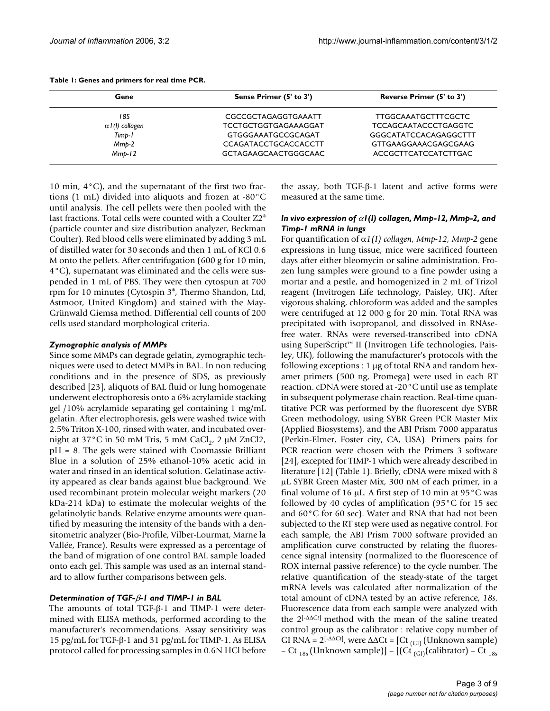| Gene                    | Sense Primer (5' to 3')     | Reverse Primer (5' to 3')   |  |  |
|-------------------------|-----------------------------|-----------------------------|--|--|
| 18S                     | CGCCGCTAGAGGTGAAATT         | <b>TTGGCAAATGCTTTCGCTC</b>  |  |  |
| $\alpha$ / (1) collagen | TCCTGCTGGTGAGAAAGGAT        | <b>TCCAGCAATACCCTGAGGTC</b> |  |  |
| Timp-1                  | <b>GTGGGAAATGCCGCAGAT</b>   | GGGCATATCCACAGAGGCTTT       |  |  |
| $Mmp-2$                 | <b>CCAGATACCTGCACCACCTT</b> | GTTGAAGGAAACGAGCGAAG        |  |  |
| $Mmb-12$                | <b>GCTAGAAGCAACTGGGCAAC</b> | ACCGCTTCATCCATCTTGAC        |  |  |

#### **Table 1: Genes and primers for real time PCR.**

10 min,  $4^{\circ}$ C), and the supernatant of the first two fractions (1 mL) divided into aliquots and frozen at -80°C until analysis. The cell pellets were then pooled with the last fractions. Total cells were counted with a Coulter Z2® (particle counter and size distribution analyzer, Beckman Coulter). Red blood cells were eliminated by adding 3 mL of distilled water for 30 seconds and then 1 mL of KCl 0.6 M onto the pellets. After centrifugation (600 g for 10 min, 4°C), supernatant was eliminated and the cells were suspended in 1 mL of PBS. They were then cytospun at 700 rpm for 10 minutes (Cytospin 3®, Thermo Shandon, Ltd, Astmoor, United Kingdom) and stained with the May-Grünwald Giemsa method. Differential cell counts of 200 cells used standard morphological criteria.

#### *Zymographic analysis of MMPs*

Since some MMPs can degrade gelatin, zymographic techniques were used to detect MMPs in BAL. In non reducing conditions and in the presence of SDS, as previously described [23], aliquots of BAL fluid or lung homogenate underwent electrophoresis onto a 6% acrylamide stacking gel /10% acrylamide separating gel containing 1 mg/mL gelatin. After electrophoresis, gels were washed twice with 2.5% Triton X-100, rinsed with water, and incubated overnight at  $37^{\circ}$ C in 50 mM Tris, 5 mM CaCl<sub>2</sub>, 2 µM ZnCl2, pH = 8. The gels were stained with Coomassie Brilliant Blue in a solution of 25% ethanol-10% acetic acid in water and rinsed in an identical solution. Gelatinase activity appeared as clear bands against blue background. We used recombinant protein molecular weight markers (20 kDa-214 kDa) to estimate the molecular weights of the gelatinolytic bands. Relative enzyme amounts were quantified by measuring the intensity of the bands with a densitometric analyzer (Bio-Profile, Vilber-Lourmat, Marne la Vallée, France). Results were expressed as a percentage of the band of migration of one control BAL sample loaded onto each gel. This sample was used as an internal standard to allow further comparisons between gels.

#### *Determination of TGF-*β*-1 and TIMP-1 in BAL*

The amounts of total TGF-β-1 and TIMP-1 were determined with ELISA methods, performed according to the manufacturer's recommendations. Assay sensitivity was 15 pg/mL for TGF-β-1 and 31 pg/mL for TIMP-1. As ELISA protocol called for processing samples in 0.6N HCl before the assay, both TGF-β-1 latent and active forms were measured at the same time.

#### *In vivo expression of* α*1(I) collagen, Mmp-12, Mmp-2, and Timp-1 mRNA in lungs*

For quantification of α*1(I) collagen, Mmp-12, Mmp-2* gene expressions in lung tissue, mice were sacrificed fourteen days after either bleomycin or saline administration. Frozen lung samples were ground to a fine powder using a mortar and a pestle, and homogenized in 2 mL of Trizol reagent (Invitrogen Life technology, Paisley, UK). After vigorous shaking, chloroform was added and the samples were centrifuged at 12 000 g for 20 min. Total RNA was precipitated with isopropanol, and dissolved in RNAsefree water. RNAs were reversed-transcribed into cDNA using SuperScript™ II (Invitrogen Life technologies, Paisley, UK), following the manufacturer's protocols with the following exceptions : 1 µg of total RNA and random hexamer primers (500 ng, Promega) were used in each RT reaction. cDNA were stored at -20°C until use as template in subsequent polymerase chain reaction. Real-time quantitative PCR was performed by the fluorescent dye SYBR Green methodology, using SYBR Green PCR Master Mix (Applied Biosystems), and the ABI Prism 7000 apparatus (Perkin-Elmer, Foster city, CA, USA). Primers pairs for PCR reaction were chosen with the Primers 3 software [24], excepted for TIMP-1 which were already described in literature [12] (Table 1). Briefly, cDNA were mixed with 8 µL SYBR Green Master Mix, 300 nM of each primer, in a final volume of 16  $\mu$ L. A first step of 10 min at 95 $\degree$ C was followed by 40 cycles of amplification (95°C for 15 sec and 60°C for 60 sec). Water and RNA that had not been subjected to the RT step were used as negative control. For each sample, the ABI Prism 7000 software provided an amplification curve constructed by relating the fluorescence signal intensity (normalized to the fluorescence of ROX internal passive reference) to the cycle number. The relative quantification of the steady-state of the target mRNA levels was calculated after normalization of the total amount of cDNA tested by an active reference, *18s*. Fluorescence data from each sample were analyzed with the 2[-∆∆*Ct*] method with the mean of the saline treated control group as the calibrator : relative copy number of GI RNA = 2[-∆∆*Ct*] , were ∆∆Ct = [Ct (GI) (Unknown sample) – Ct <sub>18s</sub> (Unknown sample)] – [(Ct <sub>(GI)</sub>(calibrator) – Ct <sub>18s</sub>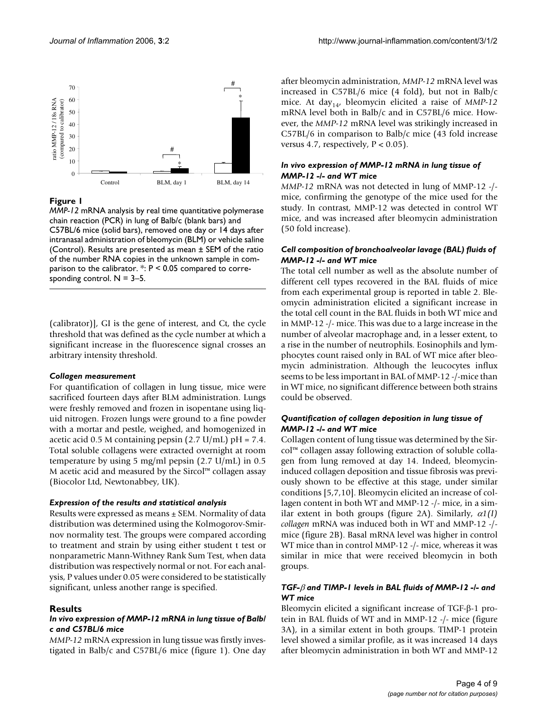

#### **Figure I**

*MMP-12* mRNA analysis by real time quantitative polymerase chain reaction (PCR) in lung of Balb/c (blank bars) and C57BL/6 mice (solid bars), removed one day or 14 days after intranasal administration of bleomycin (BLM) or vehicle saline (Control). Results are presented as mean ± SEM of the ratio of the number RNA copies in the unknown sample in comparison to the calibrator.  $*$ :  $P < 0.05$  compared to corresponding control.  $N = 3-5$ .

(calibrator)], GI is the gene of interest, and Ct, the cycle threshold that was defined as the cycle number at which a significant increase in the fluorescence signal crosses an arbitrary intensity threshold.

#### *Collagen measurement*

For quantification of collagen in lung tissue, mice were sacrificed fourteen days after BLM administration. Lungs were freshly removed and frozen in isopentane using liquid nitrogen. Frozen lungs were ground to a fine powder with a mortar and pestle, weighed, and homogenized in acetic acid 0.5 M containing pepsin  $(2.7 \text{ U/mL})$  pH = 7.4. Total soluble collagens were extracted overnight at room temperature by using 5 mg/ml pepsin (2.7 U/mL) in 0.5 M acetic acid and measured by the Sircol™ collagen assay (Biocolor Ltd, Newtonabbey, UK).

#### *Expression of the results and statistical analysis*

Results were expressed as means  $\pm$  SEM. Normality of data distribution was determined using the Kolmogorov-Smirnov normality test. The groups were compared according to treatment and strain by using either student t test or nonparametric Mann-Withney Rank Sum Test, when data distribution was respectively normal or not. For each analysis, P values under 0.05 were considered to be statistically significant, unless another range is specified.

#### **Results**

#### *In vivo expression of MMP-12 mRNA in lung tissue of Balb/ c and C57BL/6 mice*

*MMP-12* mRNA expression in lung tissue was firstly investigated in Balb/c and C57BL/6 mice (figure 1). One day after bleomycin administration, *MMP-12* mRNA level was increased in C57BL/6 mice (4 fold), but not in Balb/c mice. At day<sub>14</sub>, bleomycin elicited a raise of *MMP-12* mRNA level both in Balb/c and in C57BL/6 mice. However, the *MMP-12* mRNA level was strikingly increased in C57BL/6 in comparison to Balb/c mice (43 fold increase versus 4.7, respectively,  $P < 0.05$ ).

#### *In vivo expression of MMP-12 mRNA in lung tissue of MMP-12 -/- and WT mice*

*MMP-12* mRNA was not detected in lung of MMP-12 -/ mice, confirming the genotype of the mice used for the study. In contrast, MMP-12 was detected in control WT mice, and was increased after bleomycin administration (50 fold increase).

#### *Cell composition of bronchoalveolar lavage (BAL) fluids of MMP-12 -/- and WT mice*

The total cell number as well as the absolute number of different cell types recovered in the BAL fluids of mice from each experimental group is reported in table 2. Bleomycin administration elicited a significant increase in the total cell count in the BAL fluids in both WT mice and in MMP-12 -/- mice. This was due to a large increase in the number of alveolar macrophage and, in a lesser extent, to a rise in the number of neutrophils. Eosinophils and lymphocytes count raised only in BAL of WT mice after bleomycin administration. Although the leucocytes influx seems to be less important in BAL of MMP-12 -/-mice than in WT mice, no significant difference between both strains could be observed.

#### *Quantification of collagen deposition in lung tissue of MMP-12 -/- and WT mice*

Collagen content of lung tissue was determined by the Sircol™ collagen assay following extraction of soluble collagen from lung removed at day 14. Indeed, bleomycininduced collagen deposition and tissue fibrosis was previously shown to be effective at this stage, under similar conditions [5,7,10]. Bleomycin elicited an increase of collagen content in both WT and MMP-12 -/- mice, in a similar extent in both groups (figure 2A). Similarly, α*1(I) collagen* mRNA was induced both in WT and MMP-12 -/ mice (figure 2B). Basal mRNA level was higher in control WT mice than in control MMP-12 -/- mice, whereas it was similar in mice that were received bleomycin in both groups.

#### *TGF-*β *and TIMP-1 levels in BAL fluids of MMP-12 -/- and WT mice*

Bleomycin elicited a significant increase of TGF-β-1 protein in BAL fluids of WT and in MMP-12 -/- mice (figure 3A), in a similar extent in both groups. TIMP-1 protein level showed a similar profile, as it was increased 14 days after bleomycin administration in both WT and MMP-12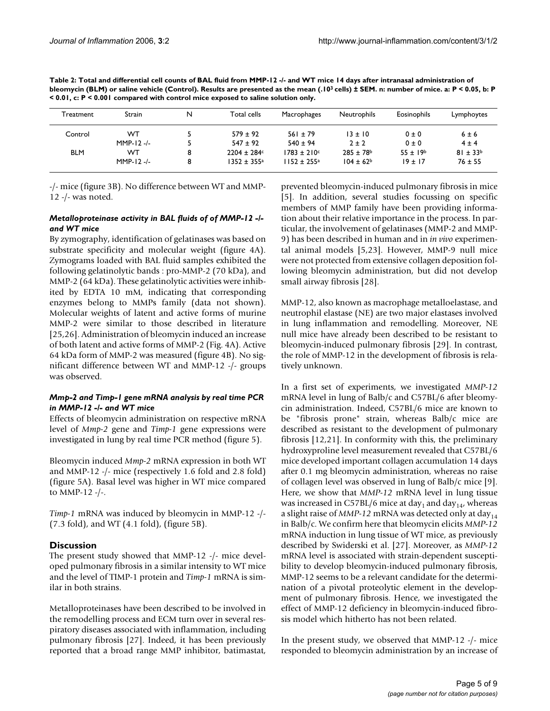| Table 2: Total and differential cell counts of BAL fluid from MMP-12 -/- and WT mice 14 days after intranasal administration of                     |  |  |  |  |  |
|-----------------------------------------------------------------------------------------------------------------------------------------------------|--|--|--|--|--|
| bleomycin (BLM) or saline vehicle (Control). Results are presented as the mean (.10 <sup>3</sup> cells) ± SEM. n: number of mice. a: P < 0.05, b: P |  |  |  |  |  |
| < 0.01, c: P < 0.001 compared with control mice exposed to saline solution only.                                                                    |  |  |  |  |  |
|                                                                                                                                                     |  |  |  |  |  |

| Treatment  | Strain       | N | Total cells            | Macrophages                 | <b>Neutrophils</b>        | Eosinophils     | Lymphoytes      |
|------------|--------------|---|------------------------|-----------------------------|---------------------------|-----------------|-----------------|
| Control    | WT           |   | $579 \pm 92$           | $561 \pm 79$                | $13 \pm 10$               | $0 \pm 0$       | $6 \pm 6$       |
|            | $MMP-12 -/-$ |   | $547 \pm 92$           | $540 \pm 94$                | $2 \pm 2$                 | $0 \pm 0$       | $4 \pm 4$       |
| <b>BLM</b> | WТ           |   | $2204 \pm 284$ c       | $1783 \pm 210$ c            | $285 \pm 78$ <sup>b</sup> | $55 \pm 19^{b}$ | $81 \pm 33^{b}$ |
|            | $MMP-12 -/-$ | 8 | $1352 \pm 355^{\circ}$ | $1152 \pm 255$ <sup>a</sup> | $104 \pm 62^b$            | $19 \pm 17$     | $76 \pm 55$     |

-/- mice (figure 3B). No difference between WT and MMP-12 -/- was noted.

#### *Metalloproteinase activity in BAL fluids of of MMP-12 -/ and WT mice*

By zymography, identification of gelatinases was based on substrate specificity and molecular weight (figure 4A). Zymograms loaded with BAL fluid samples exhibited the following gelatinolytic bands : pro-MMP-2 (70 kDa), and MMP-2 (64 kDa). These gelatinolytic activities were inhibited by EDTA 10 mM, indicating that corresponding enzymes belong to MMPs family (data not shown). Molecular weights of latent and active forms of murine MMP-2 were similar to those described in literature [25,26]. Administration of bleomycin induced an increase of both latent and active forms of MMP-2 (Fig. 4A). Active 64 kDa form of MMP-2 was measured (figure 4B). No significant difference between WT and MMP-12 -/- groups was observed.

#### *Mmp-2 and Timp-1 gene mRNA analysis by real time PCR in MMP-12 -/- and WT mice*

Effects of bleomycin administration on respective mRNA level of *Mmp-2* gene and *Timp-1* gene expressions were investigated in lung by real time PCR method (figure 5).

Bleomycin induced *Mmp-2* mRNA expression in both WT and MMP-12 -/- mice (respectively 1.6 fold and 2.8 fold) (figure 5A). Basal level was higher in WT mice compared to MMP-12 -/-.

*Timp-1* mRNA was induced by bleomycin in MMP-12 -/- (7.3 fold), and WT (4.1 fold), (figure 5B).

### **Discussion**

The present study showed that MMP-12 -/- mice developed pulmonary fibrosis in a similar intensity to WT mice and the level of TIMP-1 protein and *Timp-1* mRNA is similar in both strains.

Metalloproteinases have been described to be involved in the remodelling process and ECM turn over in several respiratory diseases associated with inflammation, including pulmonary fibrosis [27]. Indeed, it has been previously reported that a broad range MMP inhibitor, batimastat,

prevented bleomycin-induced pulmonary fibrosis in mice [5]. In addition, several studies focussing on specific members of MMP family have been providing information about their relative importance in the process. In particular, the involvement of gelatinases (MMP-2 and MMP-9) has been described in human and in *in vivo* experimental animal models [5,23]. However, MMP-9 null mice were not protected from extensive collagen deposition following bleomycin administration, but did not develop small airway fibrosis [28].

MMP-12, also known as macrophage metalloelastase, and neutrophil elastase (NE) are two major elastases involved in lung inflammation and remodelling. Moreover, NE null mice have already been described to be resistant to bleomycin-induced pulmonary fibrosis [29]. In contrast, the role of MMP-12 in the development of fibrosis is relatively unknown.

In a first set of experiments, we investigated *MMP-12* mRNA level in lung of Balb/c and C57BL/6 after bleomycin administration. Indeed, C57BL/6 mice are known to be "fibrosis prone" strain, whereas Balb/c mice are described as resistant to the development of pulmonary fibrosis [12,21]. In conformity with this, the preliminary hydroxyproline level measurement revealed that C57BL/6 mice developed important collagen accumulation 14 days after 0.1 mg bleomycin administration, whereas no raise of collagen level was observed in lung of Balb/c mice [9]. Here, we show that *MMP-12* mRNA level in lung tissue was increased in C57BL/6 mice at day<sub>1</sub> and day<sub>14</sub>, whereas a slight raise of  $MMP-12$  mRNA was detected only at day<sub>14</sub> in Balb/c. We confirm here that bleomycin elicits *MMP-12* mRNA induction in lung tissue of WT mice, as previously described by Swiderski et al. [27]. Moreover, as *MMP-12* mRNA level is associated with strain-dependent susceptibility to develop bleomycin-induced pulmonary fibrosis, MMP-12 seems to be a relevant candidate for the determination of a pivotal proteolytic element in the development of pulmonary fibrosis. Hence, we investigated the effect of MMP-12 deficiency in bleomycin-induced fibrosis model which hitherto has not been related.

In the present study, we observed that MMP-12 -/- mice responded to bleomycin administration by an increase of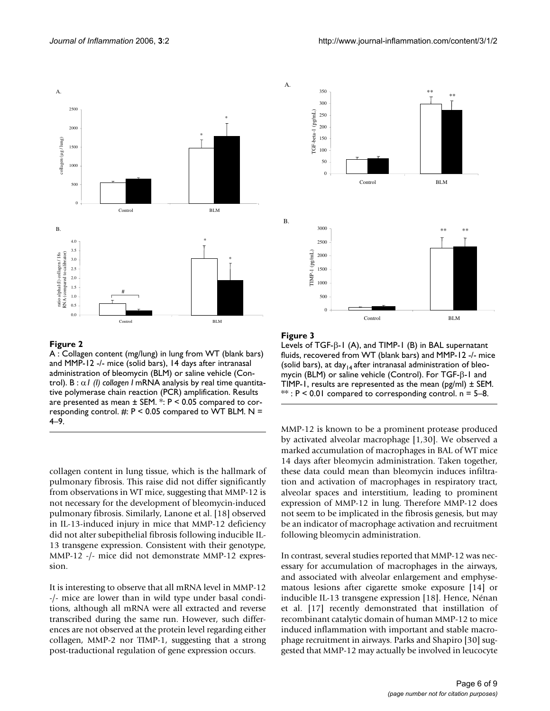

#### **Figure 2**

A : Collagen content (mg/lung) in lung from WT (blank bars) and MMP-12 -/- mice (solid bars), 14 days after intranasal administration of bleomycin (BLM) or saline vehicle (Control). B : α*1 (I) collagen I* mRNA analysis by real time quantitative polymerase chain reaction (PCR) amplification. Results are presented as mean  $\pm$  SEM.  $\cdot$ : P < 0.05 compared to corresponding control.  $#: P \leq 0.05$  compared to WT BLM. N = 4–9.

collagen content in lung tissue, which is the hallmark of pulmonary fibrosis. This raise did not differ significantly from observations in WT mice, suggesting that MMP-12 is not necessary for the development of bleomycin-induced pulmonary fibrosis. Similarly, Lanone et al. [18] observed in IL-13-induced injury in mice that MMP-12 deficiency did not alter subepithelial fibrosis following inducible IL-13 transgene expression. Consistent with their genotype, MMP-12 -/- mice did not demonstrate MMP-12 expression.

It is interesting to observe that all mRNA level in MMP-12 -/- mice are lower than in wild type under basal conditions, although all mRNA were all extracted and reverse transcribed during the same run. However, such differences are not observed at the protein level regarding either collagen, MMP-2 nor TIMP-1, suggesting that a strong post-traductional regulation of gene expression occurs.

![](_page_6_Figure_7.jpeg)

#### **Exercise 3 Exercise 2 Exercise 2 Exercise 2**

Levels of TGF-β-1 (A), and TIMP-1 (B) in BAL supernatant fluids, recovered from WT (blank bars) and MMP-12 -/- mice (solid bars), at day<sub>14</sub> after intranasal administration of bleomycin (BLM) or saline vehicle (Control). For TGF-β-1 and TIMP-1, results are represented as the mean (pg/ml)  $\pm$  SEM.  $**$ :  $P < 0.01$  compared to corresponding control. n = 5–8.

MMP-12 is known to be a prominent protease produced by activated alveolar macrophage [1,30]. We observed a marked accumulation of macrophages in BAL of WT mice 14 days after bleomycin administration. Taken together, these data could mean than bleomycin induces infiltration and activation of macrophages in respiratory tract, alveolar spaces and interstitium, leading to prominent expression of MMP-12 in lung. Therefore MMP-12 does not seem to be implicated in the fibrosis genesis, but may be an indicator of macrophage activation and recruitment following bleomycin administration.

In contrast, several studies reported that MMP-12 was necessary for accumulation of macrophages in the airways, and associated with alveolar enlargement and emphysematous lesions after cigarette smoke exposure [14] or inducible IL-13 transgene expression [18]. Hence, Nénan et al. [17] recently demonstrated that instillation of recombinant catalytic domain of human MMP-12 to mice induced inflammation with important and stable macrophage recruitment in airways. Parks and Shapiro [30] suggested that MMP-12 may actually be involved in leucocyte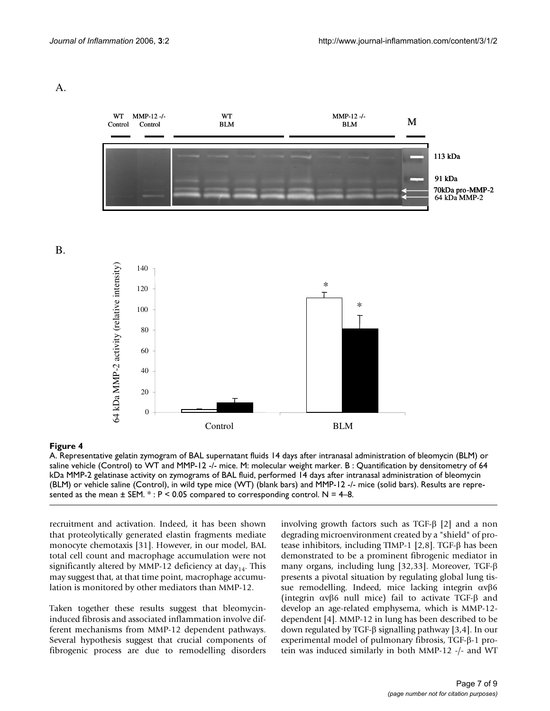A.

B.

![](_page_7_Figure_3.jpeg)

A. Representative gelatin zymogram of BAL supernatant fluids 14 days after intranasal administration of bleomycin (BLM) or saline vehicle (Control) to WT and MMP-12 -/- mice. M: molecular weight marker. B : Quantification by densitometry of 64 kDa MMP-2 gelatinase activity on zymograms of BAL fluid, performed 14 days after intranasal administration of bleomycin (BLM) or vehicle saline (Control), in wild type mice (WT) (blank bars) and MMP-12 -/- mice (solid bars). Results are represented as the mean  $\pm$  SEM.  $*$ :  $P < 0.05$  compared to corresponding control. N = 4–8.

recruitment and activation. Indeed, it has been shown that proteolytically generated elastin fragments mediate monocyte chemotaxis [31]. However, in our model, BAL total cell count and macrophage accumulation were not significantly altered by MMP-12 deficiency at day<sub>14</sub>. This may suggest that, at that time point, macrophage accumulation is monitored by other mediators than MMP-12.

Taken together these results suggest that bleomycininduced fibrosis and associated inflammation involve different mechanisms from MMP-12 dependent pathways. Several hypothesis suggest that crucial components of fibrogenic process are due to remodelling disorders involving growth factors such as TGF-β [2] and a non degrading microenvironment created by a "shield" of protease inhibitors, including TIMP-1 [2,8]. TGF-β has been demonstrated to be a prominent fibrogenic mediator in many organs, including lung [32,33]. Moreover, TGF-β presents a pivotal situation by regulating global lung tissue remodelling. Indeed, mice lacking integrin αvβ6 (integrin αvβ6 null mice) fail to activate TGF-β and develop an age-related emphysema, which is MMP-12 dependent [4]. MMP-12 in lung has been described to be down regulated by TGF-β signalling pathway [3,4]. In our experimental model of pulmonary fibrosis, TGF-β-1 protein was induced similarly in both MMP-12 -/- and WT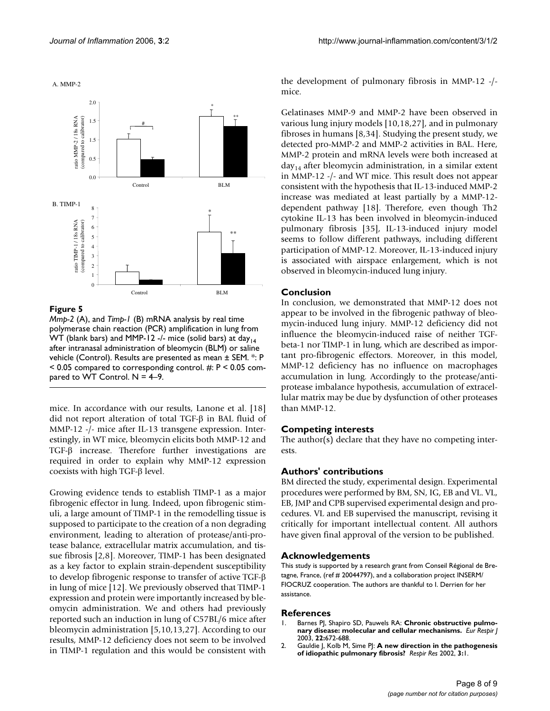A. MMP-2

![](_page_8_Figure_3.jpeg)

#### Figure 5

*Mmp-2* (A), and *Timp-1* (B) mRNA analysis by real time polymerase chain reaction (PCR) amplification in lung from WT (blank bars) and MMP-12 -/- mice (solid bars) at day $_{14}$ after intranasal administration of bleomycin (BLM) or saline vehicle (Control). Results are presented as mean ± SEM. \*: P  $<$  0.05 compared to corresponding control. #: P  $<$  0.05 compared to WT Control.  $N = 4-9$ .

mice. In accordance with our results, Lanone et al. [18] did not report alteration of total TGF-β in BAL fluid of MMP-12 -/- mice after IL-13 transgene expression. Interestingly, in WT mice, bleomycin elicits both MMP-12 and TGF-β increase. Therefore further investigations are required in order to explain why MMP-12 expression coexists with high TGF-β level.

Growing evidence tends to establish TIMP-1 as a major fibrogenic effector in lung. Indeed, upon fibrogenic stimuli, a large amount of TIMP-1 in the remodelling tissue is supposed to participate to the creation of a non degrading environment, leading to alteration of protease/anti-protease balance, extracellular matrix accumulation, and tissue fibrosis [2,8]. Moreover, TIMP-1 has been designated as a key factor to explain strain-dependent susceptibility to develop fibrogenic response to transfer of active TGF-β in lung of mice [12]. We previously observed that TIMP-1 expression and protein were importantly increased by bleomycin administration. We and others had previously reported such an induction in lung of C57BL/6 mice after bleomycin administration [5,10,13,27]. According to our results, MMP-12 deficiency does not seem to be involved in TIMP-1 regulation and this would be consistent with the development of pulmonary fibrosis in MMP-12 -/ mice.

Gelatinases MMP-9 and MMP-2 have been observed in various lung injury models [10,18,27], and in pulmonary fibroses in humans [8,34]. Studying the present study, we detected pro-MMP-2 and MMP-2 activities in BAL. Here, MMP-2 protein and mRNA levels were both increased at  $day_{14}$  after bleomycin administration, in a similar extent in MMP-12 -/- and WT mice. This result does not appear consistent with the hypothesis that IL-13-induced MMP-2 increase was mediated at least partially by a MMP-12 dependent pathway [18]. Therefore, even though Th2 cytokine IL-13 has been involved in bleomycin-induced pulmonary fibrosis [35], IL-13-induced injury model seems to follow different pathways, including different participation of MMP-12. Moreover, IL-13-induced injury is associated with airspace enlargement, which is not observed in bleomycin-induced lung injury.

#### **Conclusion**

In conclusion, we demonstrated that MMP-12 does not appear to be involved in the fibrogenic pathway of bleomycin-induced lung injury. MMP-12 deficiency did not influence the bleomycin-induced raise of neither TGFbeta-1 nor TIMP-1 in lung, which are described as important pro-fibrogenic effectors. Moreover, in this model, MMP-12 deficiency has no influence on macrophages accumulation in lung. Accordingly to the protease/antiprotease imbalance hypothesis, accumulation of extracellular matrix may be due by dysfunction of other proteases than MMP-12.

#### **Competing interests**

The author(s) declare that they have no competing interests.

#### **Authors' contributions**

BM directed the study, experimental design. Experimental procedures were performed by BM, SN, IG, EB and VL. VL, EB, JMP and CPB supervised experimental design and procedures. VL and EB supervised the manuscript, revising it critically for important intellectual content. All authors have given final approval of the version to be published.

#### **Acknowledgements**

This study is supported by a research grant from Conseil Régional de Bretagne, France, (ref # 20044797), and a collaboration project INSERM/ FIOCRUZ cooperation. The authors are thankful to I. Derrien for her assistance.

#### **References**

- Barnes PJ, Shapiro SD, Pauwels RA: [Chronic obstructive pulmo](http://www.ncbi.nlm.nih.gov/entrez/query.fcgi?cmd=Retrieve&db=PubMed&dopt=Abstract&list_uids=14582923)**[nary disease: molecular and cellular mechanisms.](http://www.ncbi.nlm.nih.gov/entrez/query.fcgi?cmd=Retrieve&db=PubMed&dopt=Abstract&list_uids=14582923)** *Eur Respir J* 2003, **22:**672-688.
- 2. Gauldie J, Kolb M, Sime PJ: **[A new direction in the pathogenesis](http://www.ncbi.nlm.nih.gov/entrez/query.fcgi?cmd=Retrieve&db=PubMed&dopt=Abstract&list_uids=11806836) [of idiopathic pulmonary fibrosis?](http://www.ncbi.nlm.nih.gov/entrez/query.fcgi?cmd=Retrieve&db=PubMed&dopt=Abstract&list_uids=11806836)** *Respir Res* 2002, **3:**1.